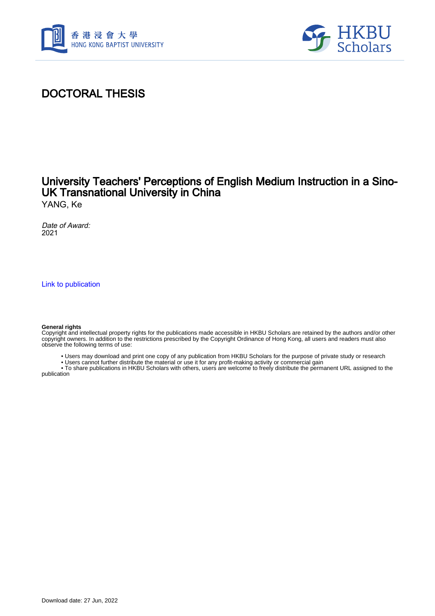



## DOCTORAL THESIS

# University Teachers' Perceptions of English Medium Instruction in a Sino-UK Transnational University in China

YANG, Ke

Date of Award: 2021

[Link to publication](https://scholars.hkbu.edu.hk/en/studentTheses/a7a7af2d-11b3-446d-9763-e61052b72389)

#### **General rights**

Copyright and intellectual property rights for the publications made accessible in HKBU Scholars are retained by the authors and/or other copyright owners. In addition to the restrictions prescribed by the Copyright Ordinance of Hong Kong, all users and readers must also observe the following terms of use:

- Users may download and print one copy of any publication from HKBU Scholars for the purpose of private study or research
- Users cannot further distribute the material or use it for any profit-making activity or commercial gain

 • To share publications in HKBU Scholars with others, users are welcome to freely distribute the permanent URL assigned to the publication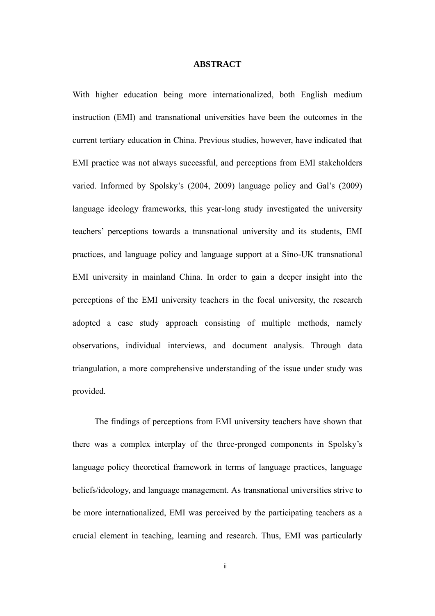### **ABSTRACT**

<span id="page-1-0"></span>With higher education being more internationalized, both English medium instruction (EMI) and transnational universities have been the outcomes in the current tertiary education in China. Previous studies, however, have indicated that EMI practice was not always successful, and perceptions from EMI stakeholders varied. Informed by Spolsky's (2004, 2009) language policy and Gal's (2009) language ideology frameworks, this year-long study investigated the university teachers' perceptions towards a transnational university and its students, EMI practices, and language policy and language support at a Sino-UK transnational EMI university in mainland China. In order to gain a deeper insight into the perceptions of the EMI university teachers in the focal university, the research adopted a case study approach consisting of multiple methods, namely observations, individual interviews, and document analysis. Through data triangulation, a more comprehensive understanding of the issue under study was provided.

The findings of perceptions from EMI university teachers have shown that there was a complex interplay of the three-pronged components in Spolsky's language policy theoretical framework in terms of language practices, language beliefs/ideology, and language management. As transnational universities strive to be more internationalized, EMI was perceived by the participating teachers as a crucial element in teaching, learning and research. Thus, EMI was particularly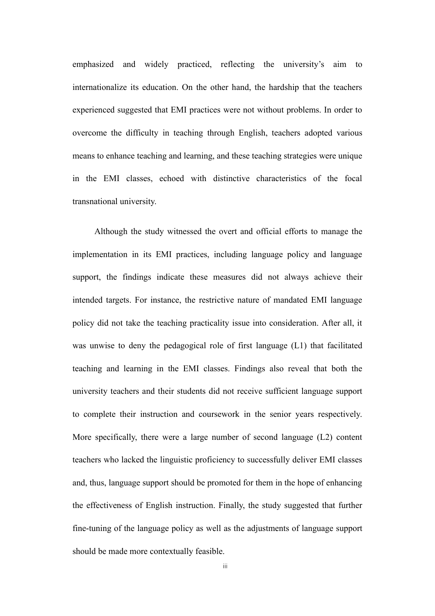emphasized and widely practiced, reflecting the university's aim to internationalize its education. On the other hand, the hardship that the teachers experienced suggested that EMI practices were not without problems. In order to overcome the difficulty in teaching through English, teachers adopted various means to enhance teaching and learning, and these teaching strategies were unique in the EMI classes, echoed with distinctive characteristics of the focal transnational university.

Although the study witnessed the overt and official efforts to manage the implementation in its EMI practices, including language policy and language support, the findings indicate these measures did not always achieve their intended targets. For instance, the restrictive nature of mandated EMI language policy did not take the teaching practicality issue into consideration. After all, it was unwise to deny the pedagogical role of first language (L1) that facilitated teaching and learning in the EMI classes. Findings also reveal that both the university teachers and their students did not receive sufficient language support to complete their instruction and coursework in the senior years respectively. More specifically, there were a large number of second language (L2) content teachers who lacked the linguistic proficiency to successfully deliver EMI classes and, thus, language support should be promoted for them in the hope of enhancing the effectiveness of English instruction. Finally, the study suggested that further fine-tuning of the language policy as well as the adjustments of language support should be made more contextually feasible.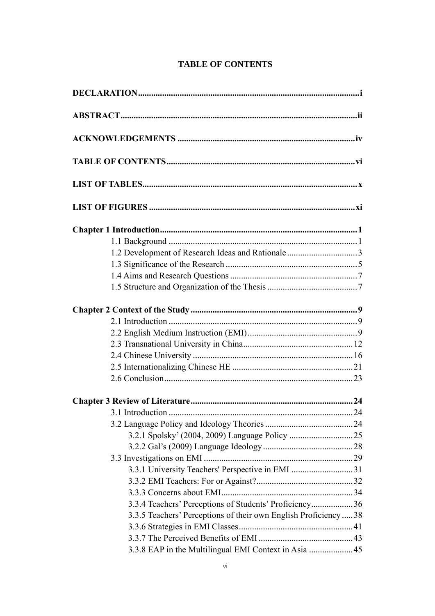<span id="page-3-0"></span>

| 1.2 Development of Research Ideas and Rationale3                 |  |
|------------------------------------------------------------------|--|
|                                                                  |  |
|                                                                  |  |
|                                                                  |  |
|                                                                  |  |
|                                                                  |  |
|                                                                  |  |
|                                                                  |  |
|                                                                  |  |
|                                                                  |  |
|                                                                  |  |
|                                                                  |  |
| 3.1 Introduction                                                 |  |
|                                                                  |  |
|                                                                  |  |
|                                                                  |  |
|                                                                  |  |
| 3.3.1 University Teachers' Perspective in EMI 31                 |  |
|                                                                  |  |
|                                                                  |  |
| 3.3.4 Teachers' Perceptions of Students' Proficiency36           |  |
| 3.3.5 Teachers' Perceptions of their own English Proficiency  38 |  |
|                                                                  |  |
|                                                                  |  |
| 3.3.8 EAP in the Multilingual EMI Context in Asia  45            |  |

## **TABLE OF CONTENTS**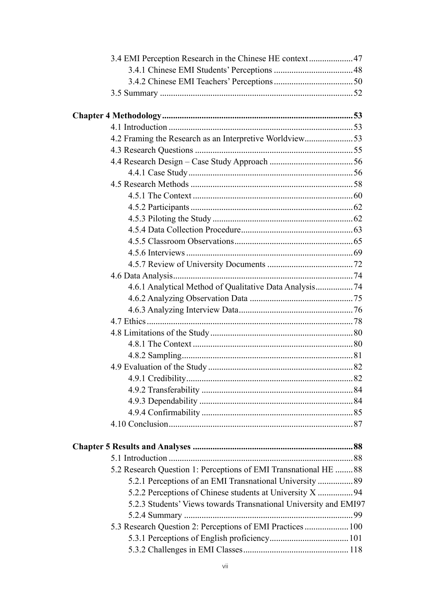| 3.4 EMI Perception Research in the Chinese HE context 47         |  |
|------------------------------------------------------------------|--|
|                                                                  |  |
|                                                                  |  |
|                                                                  |  |
|                                                                  |  |
|                                                                  |  |
| 4.2 Framing the Research as an Interpretive Worldview53          |  |
|                                                                  |  |
|                                                                  |  |
|                                                                  |  |
|                                                                  |  |
|                                                                  |  |
|                                                                  |  |
|                                                                  |  |
|                                                                  |  |
|                                                                  |  |
|                                                                  |  |
|                                                                  |  |
|                                                                  |  |
|                                                                  |  |
|                                                                  |  |
|                                                                  |  |
|                                                                  |  |
|                                                                  |  |
|                                                                  |  |
|                                                                  |  |
|                                                                  |  |
|                                                                  |  |
|                                                                  |  |
|                                                                  |  |
|                                                                  |  |
|                                                                  |  |
|                                                                  |  |
|                                                                  |  |
| 5.2 Research Question 1: Perceptions of EMI Transnational HE  88 |  |
| 5.2.1 Perceptions of an EMI Transnational University  89         |  |
| 5.2.2 Perceptions of Chinese students at University X  94        |  |
| 5.2.3 Students' Views towards Transnational University and EMI97 |  |
|                                                                  |  |
| 5.3 Research Question 2: Perceptions of EMI Practices  100       |  |
|                                                                  |  |
|                                                                  |  |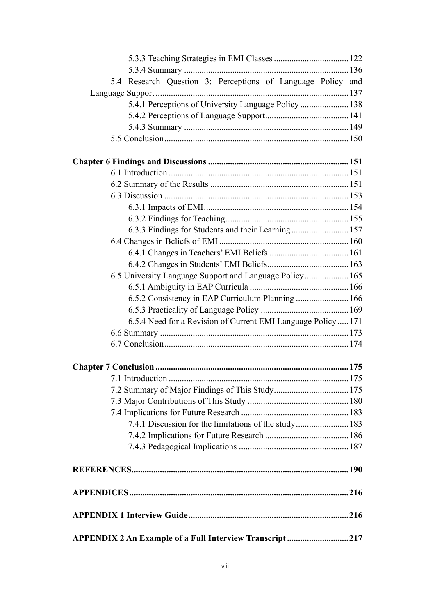| 5.4 Research Question 3: Perceptions of Language Policy and   |  |
|---------------------------------------------------------------|--|
|                                                               |  |
| 5.4.1 Perceptions of University Language Policy  138          |  |
|                                                               |  |
|                                                               |  |
|                                                               |  |
|                                                               |  |
|                                                               |  |
|                                                               |  |
|                                                               |  |
|                                                               |  |
|                                                               |  |
| 6.3.3 Findings for Students and their Learning 157            |  |
|                                                               |  |
|                                                               |  |
|                                                               |  |
| 6.5 University Language Support and Language Policy 165       |  |
|                                                               |  |
| 6.5.2 Consistency in EAP Curriculum Planning  166             |  |
|                                                               |  |
| 6.5.4 Need for a Revision of Current EMI Language Policy  171 |  |
|                                                               |  |
|                                                               |  |
|                                                               |  |
|                                                               |  |
|                                                               |  |
|                                                               |  |
|                                                               |  |
| 7.4.1 Discussion for the limitations of the study 183         |  |
|                                                               |  |
|                                                               |  |
|                                                               |  |
|                                                               |  |
|                                                               |  |
| APPENDIX 2 An Example of a Full Interview Transcript217       |  |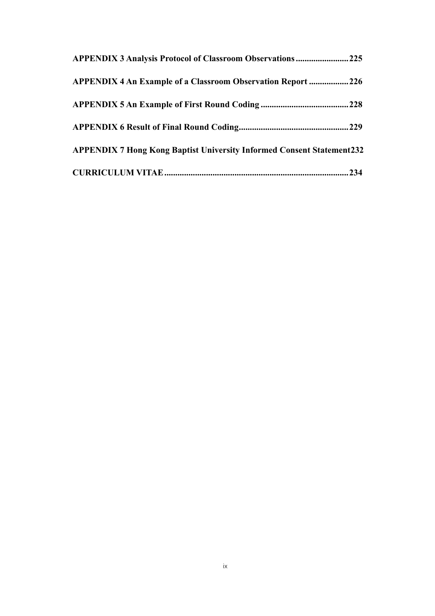| <b>APPENDIX 3 Analysis Protocol of Classroom Observations  225</b>           |  |
|------------------------------------------------------------------------------|--|
| <b>APPENDIX 4 An Example of a Classroom Observation Report  226</b>          |  |
|                                                                              |  |
|                                                                              |  |
| <b>APPENDIX 7 Hong Kong Baptist University Informed Consent Statement232</b> |  |
|                                                                              |  |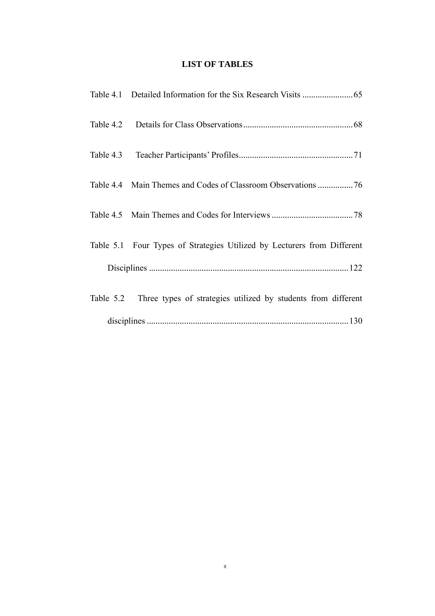### **LIST OF TABLES**

<span id="page-7-0"></span>

| Table 5.1 Four Types of Strategies Utilized by Lecturers from Different |
|-------------------------------------------------------------------------|
|                                                                         |
| Table 5.2 Three types of strategies utilized by students from different |
|                                                                         |